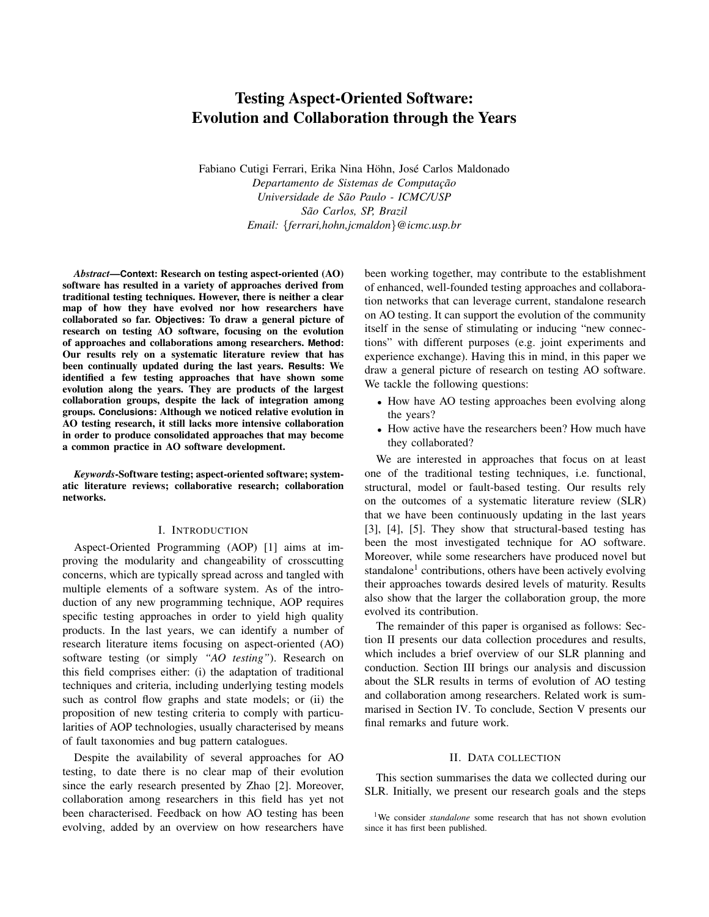# Testing Aspect-Oriented Software: Evolution and Collaboration through the Years

Fabiano Cutigi Ferrari, Erika Nina Höhn, José Carlos Maldonado  $Departmento de Sistema de Computação$ *Universidade de Sao Paulo - ICMC/USP ˜ Sao Carlos, SP, Brazil ˜ Email:* {*ferrari,hohn,jcmaldon*}*@icmc.usp.br*

*Abstract*—**Context:** Research on testing aspect-oriented (AO) software has resulted in a variety of approaches derived from traditional testing techniques. However, there is neither a clear map of how they have evolved nor how researchers have collaborated so far. **Objectives:** To draw a general picture of research on testing AO software, focusing on the evolution of approaches and collaborations among researchers. **Method:** Our results rely on a systematic literature review that has been continually updated during the last years. **Results:** We identified a few testing approaches that have shown some evolution along the years. They are products of the largest collaboration groups, despite the lack of integration among groups. **Conclusions:** Although we noticed relative evolution in AO testing research, it still lacks more intensive collaboration in order to produce consolidated approaches that may become a common practice in AO software development.

*Keywords*-Software testing; aspect-oriented software; systematic literature reviews; collaborative research; collaboration networks.

## I. INTRODUCTION

Aspect-Oriented Programming (AOP) [1] aims at improving the modularity and changeability of crosscutting concerns, which are typically spread across and tangled with multiple elements of a software system. As of the introduction of any new programming technique, AOP requires specific testing approaches in order to yield high quality products. In the last years, we can identify a number of research literature items focusing on aspect-oriented (AO) software testing (or simply *"AO testing"*). Research on this field comprises either: (i) the adaptation of traditional techniques and criteria, including underlying testing models such as control flow graphs and state models; or (ii) the proposition of new testing criteria to comply with particularities of AOP technologies, usually characterised by means of fault taxonomies and bug pattern catalogues.

Despite the availability of several approaches for AO testing, to date there is no clear map of their evolution since the early research presented by Zhao [2]. Moreover, collaboration among researchers in this field has yet not been characterised. Feedback on how AO testing has been evolving, added by an overview on how researchers have been working together, may contribute to the establishment of enhanced, well-founded testing approaches and collaboration networks that can leverage current, standalone research on AO testing. It can support the evolution of the community itself in the sense of stimulating or inducing "new connections" with different purposes (e.g. joint experiments and experience exchange). Having this in mind, in this paper we draw a general picture of research on testing AO software. We tackle the following questions:

- How have AO testing approaches been evolving along the years?
- How active have the researchers been? How much have they collaborated?

We are interested in approaches that focus on at least one of the traditional testing techniques, i.e. functional, structural, model or fault-based testing. Our results rely on the outcomes of a systematic literature review (SLR) that we have been continuously updating in the last years [3], [4], [5]. They show that structural-based testing has been the most investigated technique for AO software. Moreover, while some researchers have produced novel but standalone<sup>1</sup> contributions, others have been actively evolving their approaches towards desired levels of maturity. Results also show that the larger the collaboration group, the more evolved its contribution.

The remainder of this paper is organised as follows: Section II presents our data collection procedures and results, which includes a brief overview of our SLR planning and conduction. Section III brings our analysis and discussion about the SLR results in terms of evolution of AO testing and collaboration among researchers. Related work is summarised in Section IV. To conclude, Section V presents our final remarks and future work.

## II. DATA COLLECTION

This section summarises the data we collected during our SLR. Initially, we present our research goals and the steps

<sup>&</sup>lt;sup>1</sup>We consider *standalone* some research that has not shown evolution since it has first been published.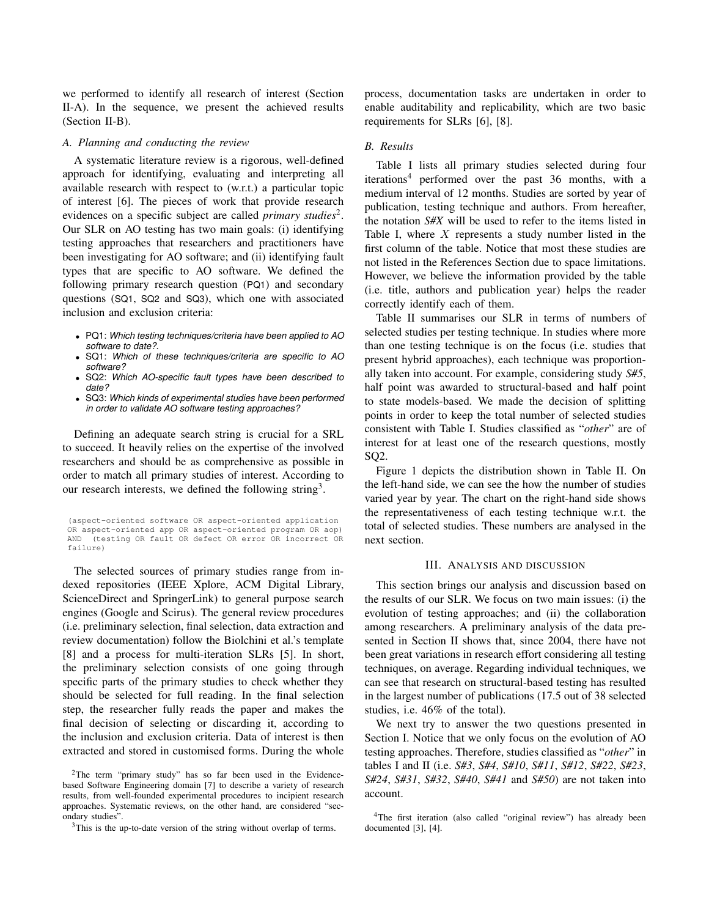we performed to identify all research of interest (Section II-A). In the sequence, we present the achieved results (Section II-B).

#### *A. Planning and conducting the review*

A systematic literature review is a rigorous, well-defined approach for identifying, evaluating and interpreting all available research with respect to (w.r.t.) a particular topic of interest [6]. The pieces of work that provide research evidences on a specific subject are called *primary studies*<sup>2</sup> . Our SLR on AO testing has two main goals: (i) identifying testing approaches that researchers and practitioners have been investigating for AO software; and (ii) identifying fault types that are specific to AO software. We defined the following primary research question (PQ1) and secondary questions (SQ1, SQ2 and SQ3), which one with associated inclusion and exclusion criteria:

- PQ1: *Which testing techniques/criteria have been applied to AO software to date?*.
- SQ1: *Which of these techniques/criteria are specific to AO software?*
- SQ2: *Which AO-specific fault types have been described to date?*
- SQ3: *Which kinds of experimental studies have been performed in order to validate AO software testing approaches?*

Defining an adequate search string is crucial for a SRL to succeed. It heavily relies on the expertise of the involved researchers and should be as comprehensive as possible in order to match all primary studies of interest. According to our research interests, we defined the following string<sup>3</sup>.

(aspect-oriented software OR aspect-oriented application OR aspect-oriented app OR aspect-oriented program OR aop) AND (testing OR fault OR defect OR error OR incorrect OR failure)

The selected sources of primary studies range from indexed repositories (IEEE Xplore, ACM Digital Library, ScienceDirect and SpringerLink) to general purpose search engines (Google and Scirus). The general review procedures (i.e. preliminary selection, final selection, data extraction and review documentation) follow the Biolchini et al.'s template [8] and a process for multi-iteration SLRs [5]. In short, the preliminary selection consists of one going through specific parts of the primary studies to check whether they should be selected for full reading. In the final selection step, the researcher fully reads the paper and makes the final decision of selecting or discarding it, according to the inclusion and exclusion criteria. Data of interest is then extracted and stored in customised forms. During the whole process, documentation tasks are undertaken in order to enable auditability and replicability, which are two basic requirements for SLRs [6], [8].

## *B. Results*

Table I lists all primary studies selected during four iterations<sup>4</sup> performed over the past 36 months, with a medium interval of 12 months. Studies are sorted by year of publication, testing technique and authors. From hereafter, the notation *S#X* will be used to refer to the items listed in Table I, where  $X$  represents a study number listed in the first column of the table. Notice that most these studies are not listed in the References Section due to space limitations. However, we believe the information provided by the table (i.e. title, authors and publication year) helps the reader correctly identify each of them.

Table II summarises our SLR in terms of numbers of selected studies per testing technique. In studies where more than one testing technique is on the focus (i.e. studies that present hybrid approaches), each technique was proportionally taken into account. For example, considering study *S#5*, half point was awarded to structural-based and half point to state models-based. We made the decision of splitting points in order to keep the total number of selected studies consistent with Table I. Studies classified as "*other*" are of interest for at least one of the research questions, mostly SQ2.

Figure 1 depicts the distribution shown in Table II. On the left-hand side, we can see the how the number of studies varied year by year. The chart on the right-hand side shows the representativeness of each testing technique w.r.t. the total of selected studies. These numbers are analysed in the next section.

# III. ANALYSIS AND DISCUSSION

This section brings our analysis and discussion based on the results of our SLR. We focus on two main issues: (i) the evolution of testing approaches; and (ii) the collaboration among researchers. A preliminary analysis of the data presented in Section II shows that, since 2004, there have not been great variations in research effort considering all testing techniques, on average. Regarding individual techniques, we can see that research on structural-based testing has resulted in the largest number of publications (17.5 out of 38 selected studies, i.e. 46% of the total).

We next try to answer the two questions presented in Section I. Notice that we only focus on the evolution of AO testing approaches. Therefore, studies classified as "*other*" in tables I and II (i.e. *S#3*, *S#4*, *S#10*, *S#11*, *S#12*, *S#22*, *S#23*, *S#24*, *S#31*, *S#32*, *S#40*, *S#41* and *S#50*) are not taken into account.

<sup>&</sup>lt;sup>2</sup>The term "primary study" has so far been used in the Evidencebased Software Engineering domain [7] to describe a variety of research results, from well-founded experimental procedures to incipient research approaches. Systematic reviews, on the other hand, are considered "secondary studies".

<sup>&</sup>lt;sup>3</sup>This is the up-to-date version of the string without overlap of terms.

<sup>4</sup>The first iteration (also called "original review") has already been documented [3], [4].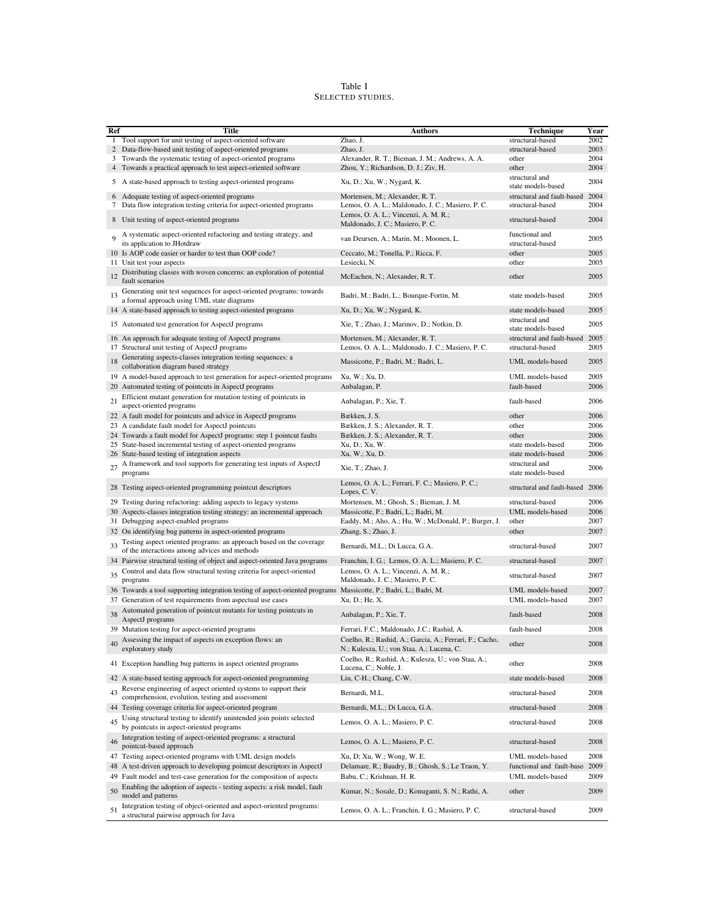## Table I SELECTED STUDIES.

| Ref | <b>Title</b>                                                                                                                  | <b>Authors</b>                                                                                       | <b>Technique</b>                     | Year |
|-----|-------------------------------------------------------------------------------------------------------------------------------|------------------------------------------------------------------------------------------------------|--------------------------------------|------|
|     | 1 Tool support for unit testing of aspect-oriented software                                                                   | Zhao, J.                                                                                             | structural-based                     | 2002 |
|     | 2 Data-flow-based unit testing of aspect-oriented programs                                                                    | Zhao, J.                                                                                             | structural-based                     | 2003 |
| 3   | Towards the systematic testing of aspect-oriented programs                                                                    | Alexander, R. T.; Bieman, J. M.; Andrews, A. A.                                                      | other                                | 2004 |
|     | 4 Towards a practical approach to test aspect-oriented software                                                               | Zhou, Y.; Richardson, D. J.; Ziv, H.                                                                 | other                                | 2004 |
|     | 5 A state-based approach to testing aspect-oriented programs                                                                  | Xu, D.; Xu, W.; Nygard, K.                                                                           | structural and<br>state models-based | 2004 |
|     | 6 Adequate testing of aspect-oriented programs                                                                                | Mortensen, M.; Alexander, R. T.                                                                      | structural and fault-based           | 2004 |
|     | 7 Data flow integration testing criteria for aspect-oriented programs                                                         | Lemos, O. A. L.; Maldonado, J. C.; Masiero, P. C.                                                    | structural-based                     | 2004 |
| 8   | Unit testing of aspect-oriented programs                                                                                      | Lemos, O. A. L.; Vincenzi, A. M. R.;<br>Maldonado, J. C.; Masiero, P. C.                             | structural-based                     | 2004 |
| 9   | A systematic aspect-oriented refactoring and testing strategy, and<br>its application to JHotdraw                             | van Deursen, A.; Marin, M.; Moonen, L.                                                               | functional and<br>structural-based   | 2005 |
|     | 10 Is AOP code easier or harder to test than OOP code?                                                                        | Ceccato, M.; Tonella, P.; Ricca, F.                                                                  | other                                | 2005 |
|     | 11 Unit test your aspects                                                                                                     | Lesiecki, N.                                                                                         | other                                | 2005 |
| 12  | Distributing classes with woven concerns: an exploration of potential<br>fault scenarios                                      | McEachen, N.; Alexander, R. T.                                                                       | other                                | 2005 |
| 13  | Generating unit test sequences for aspect-oriented programs: towards<br>a formal approach using UML state diagrams            | Badri, M.; Badri, L.; Bourque-Fortin, M.                                                             | state models-based                   | 2005 |
|     | 14 A state-based approach to testing aspect-oriented programs                                                                 | Xu, D.; Xu, W.; Nygard, K.                                                                           | state models-based                   | 2005 |
|     | 15 Automated test generation for AspectJ programs                                                                             | Xie, T.; Zhao, J.; Marinov, D.; Notkin, D.                                                           | structural and<br>state models-based | 2005 |
| 16  | An approach for adequate testing of AspectJ programs                                                                          | Mortensen, M.; Alexander, R. T.                                                                      | structural and fault-based           | 2005 |
|     | 17 Structural unit testing of AspectJ programs                                                                                | Lemos, O. A. L.; Maldonado, J. C.; Masiero, P. C.                                                    | structural-based                     | 2005 |
|     | Generating aspects-classes integration testing sequences: a                                                                   |                                                                                                      |                                      |      |
| 18  | collaboration diagram based strategy                                                                                          | Massicotte, P.; Badri, M.; Badri, L.                                                                 | <b>UML</b> models-based              | 2005 |
|     | 19 A model-based approach to test generation for aspect-oriented programs                                                     | Xu, W.; Xu, D.                                                                                       | UML models-based                     | 2005 |
| 20  | Automated testing of pointcuts in AspectJ programs                                                                            | Anbalagan, P.                                                                                        | fault-based                          | 2006 |
| 21  | Efficient mutant generation for mutation testing of pointcuts in<br>aspect-oriented programs                                  | Anbalagan, P.; Xie, T.                                                                               | fault-based                          | 2006 |
|     | 22 A fault model for pointcuts and advice in AspectJ programs                                                                 | Bækken, J. S.                                                                                        | other                                | 2006 |
|     | 23 A candidate fault model for AspectJ pointcuts                                                                              | Bækken, J. S.; Alexander, R. T.                                                                      | other                                | 2006 |
|     | 24 Towards a fault model for AspectJ programs: step 1 pointcut faults                                                         | Bækken, J. S.; Alexander, R. T.                                                                      | other                                | 2006 |
|     | 25 State-based incremental testing of aspect-oriented programs                                                                | Xu, D.; Xu, W.                                                                                       | state models-based                   | 2006 |
|     | 26 State-based testing of integration aspects                                                                                 | Xu, W.; Xu, D.                                                                                       | state models-based                   | 2006 |
| 27  | A framework and tool supports for generating test inputs of AspectJ<br>programs                                               | Xie, T.; Zhao, J.                                                                                    | structural and<br>state models-based | 2006 |
|     | 28 Testing aspect-oriented programming pointcut descriptors                                                                   | Lemos, O. A. L.; Ferrari, F. C.; Masiero, P. C.;<br>Lopes, C.V.                                      | structural and fault-based 2006      |      |
|     | 29 Testing during refactoring: adding aspects to legacy systems                                                               | Mortensen, M.; Ghosh, S.; Bieman, J. M.                                                              | structural-based                     | 2006 |
|     | 30 Aspects-classes integration testing strategy: an incremental approach                                                      | Massicotte, P.; Badri, L.; Badri, M.                                                                 | UML models-based                     | 2006 |
|     | 31 Debugging aspect-enabled programs                                                                                          | Eaddy, M.; Aho, A.; Hu, W.; McDonald, P.; Burger, J.                                                 | other                                | 2007 |
|     | 32 On identifying bug patterns in aspect-oriented programs                                                                    | Zhang, S.; Zhao, J.                                                                                  | other                                | 2007 |
| 33  | Testing aspect oriented programs: an approach based on the coverage<br>of the interactions among advices and methods          | Bernardi, M.L.; Di Lucca, G.A.                                                                       | structural-based                     | 2007 |
|     | 34 Pairwise structural testing of object and aspect-oriented Java programs                                                    | Franchin, I. G.; Lemos, O. A. L.; Masiero, P. C.                                                     | structural-based                     | 2007 |
| 35  | Control and data flow structural testing criteria for aspect-oriented                                                         | Lemos, O. A. L.; Vincenzi, A. M. R.;                                                                 | structural-based                     | 2007 |
|     | programs<br>36 Towards a tool supporting integration testing of aspect-oriented programs Massicotte, P.; Badri, L.; Badri, M. | Maldonado, J. C.; Masiero, P. C.                                                                     | UML models-based                     | 2007 |
|     | 37 Generation of test requirements from aspectual use cases                                                                   | Xu, D.; He, X.                                                                                       | UML models-based                     | 2007 |
| 38  | Automated generation of pointcut mutants for testing pointcuts in<br>AspectJ programs                                         | Anbalagan, P.; Xie, T.                                                                               | fault-based                          | 2008 |
|     | 39 Mutation testing for aspect-oriented programs                                                                              | Ferrari, F.C.; Maldonado, J.C.; Rashid, A.                                                           | fault-based                          | 2008 |
| 40  | Assessing the impact of aspects on exception flows: an<br>exploratory study                                                   | Coelho, R.; Rashid, A.; Garcia, A.; Ferrari, F.; Cacho,<br>N.; Kulesza, U.; von Staa, A.; Lucena, C. | other                                | 2008 |
|     | 41 Exception handling bug patterns in aspect oriented programs                                                                | Coelho, R.; Rashid, A.; Kulesza, U.; von Staa, A.;<br>Lucena, C.; Noble, J.                          | other                                | 2008 |
|     | 42 A state-based testing approach for aspect-oriented programming                                                             | Liu, C-H.; Chang, C-W.                                                                               | state models-based                   | 2008 |
| 43  | Reverse engineering of aspect oriented systems to support their<br>comprehension, evolution, testing and assessment           | Bernardi, M.L.                                                                                       | structural-based                     | 2008 |
|     | 44 Testing coverage criteria for aspect-oriented program                                                                      | Bernardi, M.L.; Di Lucca, G.A.                                                                       | structural-based                     | 2008 |
| 45  | Using structural testing to identify unintended join points selected                                                          | Lemos, O. A. L.; Masiero, P. C.                                                                      | structural-based                     | 2008 |
| 46  | by pointcuts in aspect-oriented programs<br>Integration testing of aspect-oriented programs: a structural                     | Lemos, O. A. L.; Masiero, P. C.                                                                      | structural-based                     | 2008 |
|     | pointcut-based approach<br>47 Testing aspect-oriented programs with UML design models                                         | Xu, D; Xu, W.; Wong, W. E.                                                                           | UML models-based                     | 2008 |
| 48  | A test-driven approach to developing pointcut descriptors in AspectJ                                                          | Delamare, R.; Baudry, B.; Ghosh, S.; Le Traon, Y.                                                    | functional and fault-base            | 2009 |
| 49  | Fault model and test-case generation for the composition of aspects                                                           | Babu, C.; Krishnan, H. R.                                                                            | UML models-based                     | 2009 |
|     | Enabling the adoption of aspects - testing aspects: a risk model, fault                                                       |                                                                                                      |                                      |      |
| 50  | model and patterns                                                                                                            | Kumar, N.; Sosale, D.; Konuganti, S. N.; Rathi, A.                                                   | other                                | 2009 |
| 51  | Integration testing of object-oriented and aspect-oriented programs:<br>a structural pairwise approach for Java               | Lemos, O. A. L.; Franchin, I. G.; Masiero, P. C.                                                     | structural-based                     | 2009 |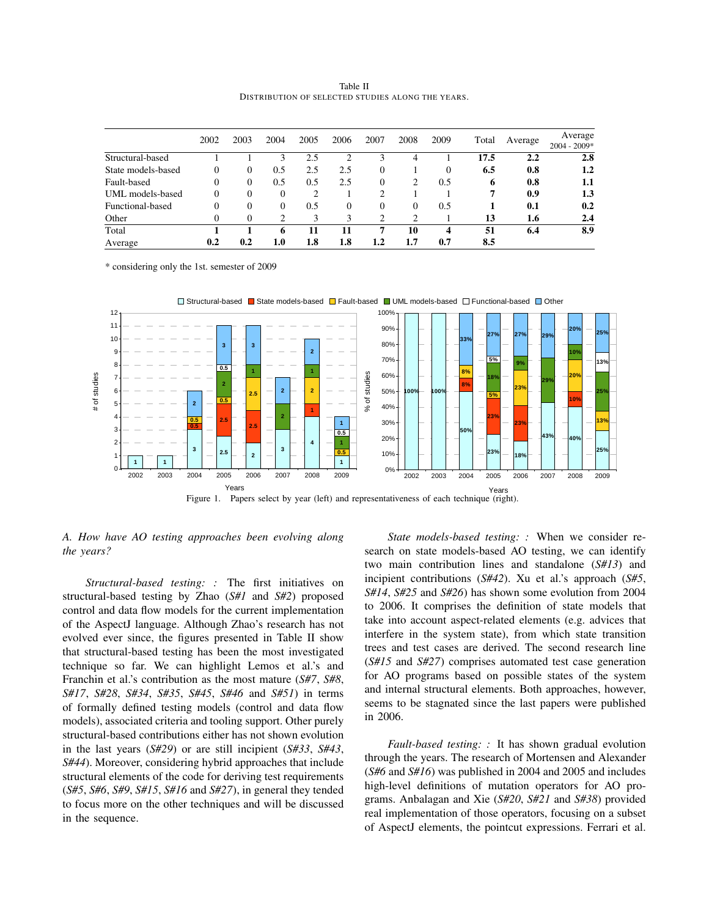Table II DISTRIBUTION OF SELECTED STUDIES ALONG THE YEARS.

|                    | 2002     | 2003         | 2004 | 2005 | 2006 | 2007           | 2008     | 2009     | Total | Average | Average<br>$2004 - 2009*$ |
|--------------------|----------|--------------|------|------|------|----------------|----------|----------|-------|---------|---------------------------|
| Structural-based   |          |              | 3    | 2.5  | ◠    | 3              | 4        |          | 17.5  | 2.2     | 2.8                       |
| State models-based | $\Omega$ | $\mathbf{0}$ | 0.5  | 2.5  | 2.5  | 0              |          | $\theta$ | 6.5   | 0.8     | 1.2                       |
| Fault-based        | $\Omega$ | $\mathbf{0}$ | 0.5  | 0.5  | 2.5  | 0              | 2        | 0.5      | 6     | 0.8     | 1.1                       |
| UML models-based   | $\theta$ | 0            | 0    | 2    |      | 2              |          |          |       | 0.9     | 1.3                       |
| Functional-based   | $\Omega$ | $\Omega$     | 0    | 0.5  | 0    | $\Omega$       | $\Omega$ | 0.5      |       | 0.1     | 0.2                       |
| Other              |          | 0            | 2    | 3    | 3    | $\mathfrak{D}$ | ↑        |          | 13    | 1.6     | 2.4                       |
| Total              |          |              | 6    | 11   |      | 7              | 10       | 4        | 51    | 6.4     | 8.9                       |
| Average            | 0.2      | 0.2          | 1.0  | 1.8  | 1.8  | 1.2            | 1.7      | 0.7      | 8.5   |         |                           |

\* considering only the 1st. semester of 2009



 $\Box$  Structural-based  $\Box$  State models-based  $\Box$  Fault-based  $\Box$  UML models-based  $\Box$  Functional-based  $\Box$  Other

# *A. How have AO testing approaches been evolving along the years?*

*Structural-based testing: :* The first initiatives on structural-based testing by Zhao (*S#1* and *S#2*) proposed control and data flow models for the current implementation of the AspectJ language. Although Zhao's research has not evolved ever since, the figures presented in Table II show that structural-based testing has been the most investigated technique so far. We can highlight Lemos et al.'s and Franchin et al.'s contribution as the most mature (*S#7*, *S#8*, *S#17*, *S#28*, *S#34*, *S#35*, *S#45*, *S#46* and *S#51*) in terms of formally defined testing models (control and data flow models), associated criteria and tooling support. Other purely structural-based contributions either has not shown evolution in the last years (*S#29*) or are still incipient (*S#33*, *S#43*, *S#44*). Moreover, considering hybrid approaches that include structural elements of the code for deriving test requirements (*S#5*, *S#6*, *S#9*, *S#15*, *S#16* and *S#27*), in general they tended to focus more on the other techniques and will be discussed in the sequence.

*State models-based testing: :* When we consider research on state models-based AO testing, we can identify two main contribution lines and standalone (*S#13*) and incipient contributions (*S#42*). Xu et al.'s approach (*S#5*, *S#14*, *S#25* and *S#26*) has shown some evolution from 2004 to 2006. It comprises the definition of state models that take into account aspect-related elements (e.g. advices that interfere in the system state), from which state transition trees and test cases are derived. The second research line (*S#15* and *S#27*) comprises automated test case generation for AO programs based on possible states of the system and internal structural elements. Both approaches, however, seems to be stagnated since the last papers were published in 2006.

*Fault-based testing: :* It has shown gradual evolution through the years. The research of Mortensen and Alexander (*S#6* and *S#16*) was published in 2004 and 2005 and includes high-level definitions of mutation operators for AO programs. Anbalagan and Xie (*S#20*, *S#21* and *S#38*) provided real implementation of those operators, focusing on a subset of AspectJ elements, the pointcut expressions. Ferrari et al.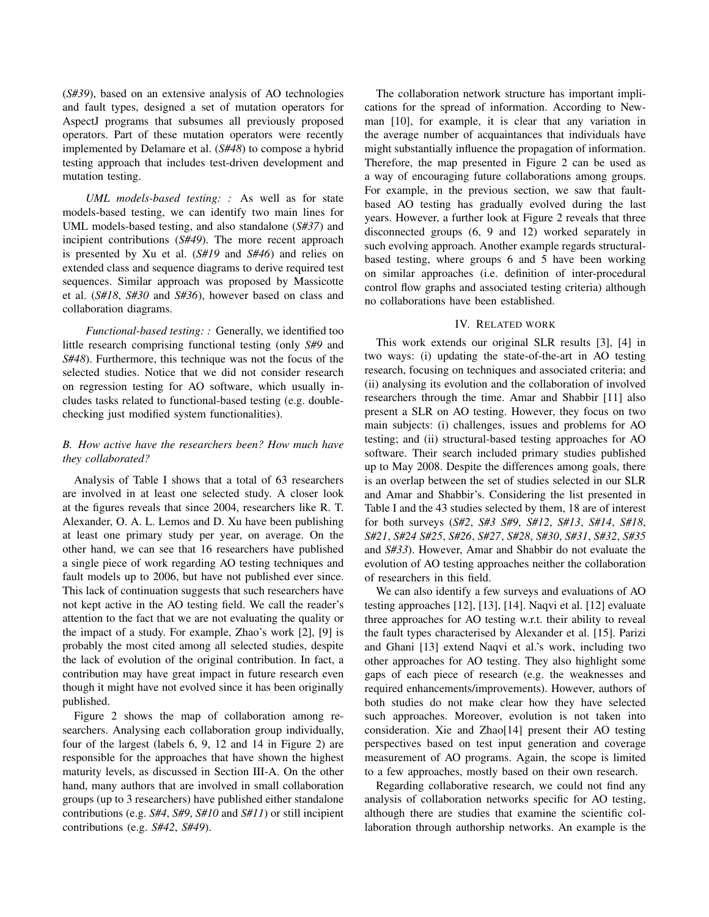(*S#39*), based on an extensive analysis of AO technologies and fault types, designed a set of mutation operators for AspectJ programs that subsumes all previously proposed operators. Part of these mutation operators were recently implemented by Delamare et al. (*S#48*) to compose a hybrid testing approach that includes test-driven development and mutation testing.

*UML models-based testing: :* As well as for state models-based testing, we can identify two main lines for UML models-based testing, and also standalone (*S#37*) and incipient contributions (*S#49*). The more recent approach is presented by Xu et al. (*S#19* and *S#46*) and relies on extended class and sequence diagrams to derive required test sequences. Similar approach was proposed by Massicotte et al. (*S#18*, *S#30* and *S#36*), however based on class and collaboration diagrams.

*Functional-based testing: :* Generally, we identified too little research comprising functional testing (only *S#9* and *S#48*). Furthermore, this technique was not the focus of the selected studies. Notice that we did not consider research on regression testing for AO software, which usually includes tasks related to functional-based testing (e.g. doublechecking just modified system functionalities).

# *B. How active have the researchers been? How much have they collaborated?*

Analysis of Table I shows that a total of 63 researchers are involved in at least one selected study. A closer look at the figures reveals that since 2004, researchers like R. T. Alexander, O. A. L. Lemos and D. Xu have been publishing at least one primary study per year, on average. On the other hand, we can see that 16 researchers have published a single piece of work regarding AO testing techniques and fault models up to 2006, but have not published ever since. This lack of continuation suggests that such researchers have not kept active in the AO testing field. We call the reader's attention to the fact that we are not evaluating the quality or the impact of a study. For example, Zhao's work [2], [9] is probably the most cited among all selected studies, despite the lack of evolution of the original contribution. In fact, a contribution may have great impact in future research even though it might have not evolved since it has been originally published.

Figure 2 shows the map of collaboration among researchers. Analysing each collaboration group individually, four of the largest (labels 6, 9, 12 and 14 in Figure 2) are responsible for the approaches that have shown the highest maturity levels, as discussed in Section III-A. On the other hand, many authors that are involved in small collaboration groups (up to 3 researchers) have published either standalone contributions (e.g. *S#4*, *S#9*, *S#10* and *S#11*) or still incipient contributions (e.g. *S#42*, *S#49*).

The collaboration network structure has important implications for the spread of information. According to Newman [10], for example, it is clear that any variation in the average number of acquaintances that individuals have might substantially influence the propagation of information. Therefore, the map presented in Figure 2 can be used as a way of encouraging future collaborations among groups. For example, in the previous section, we saw that faultbased AO testing has gradually evolved during the last years. However, a further look at Figure 2 reveals that three disconnected groups (6, 9 and 12) worked separately in such evolving approach. Another example regards structuralbased testing, where groups 6 and 5 have been working on similar approaches (i.e. definition of inter-procedural control flow graphs and associated testing criteria) although no collaborations have been established.

# IV. RELATED WORK

This work extends our original SLR results [3], [4] in two ways: (i) updating the state-of-the-art in AO testing research, focusing on techniques and associated criteria; and (ii) analysing its evolution and the collaboration of involved researchers through the time. Amar and Shabbir [11] also present a SLR on AO testing. However, they focus on two main subjects: (i) challenges, issues and problems for AO testing; and (ii) structural-based testing approaches for AO software. Their search included primary studies published up to May 2008. Despite the differences among goals, there is an overlap between the set of studies selected in our SLR and Amar and Shabbir's. Considering the list presented in Table I and the 43 studies selected by them, 18 are of interest for both surveys (*S#2*, *S#3 S#9*, *S#12*, *S#13*, *S#14*, *S#18*, *S#21*, *S#24 S#25*, *S#26*, *S#27*, *S#28*, *S#30*, *S#31*, *S#32*, *S#35* and *S#33*). However, Amar and Shabbir do not evaluate the evolution of AO testing approaches neither the collaboration of researchers in this field.

We can also identify a few surveys and evaluations of AO testing approaches [12], [13], [14]. Naqvi et al. [12] evaluate three approaches for AO testing w.r.t. their ability to reveal the fault types characterised by Alexander et al. [15]. Parizi and Ghani [13] extend Naqvi et al.'s work, including two other approaches for AO testing. They also highlight some gaps of each piece of research (e.g. the weaknesses and required enhancements/improvements). However, authors of both studies do not make clear how they have selected such approaches. Moreover, evolution is not taken into consideration. Xie and Zhao[14] present their AO testing perspectives based on test input generation and coverage measurement of AO programs. Again, the scope is limited to a few approaches, mostly based on their own research.

Regarding collaborative research, we could not find any analysis of collaboration networks specific for AO testing, although there are studies that examine the scientific collaboration through authorship networks. An example is the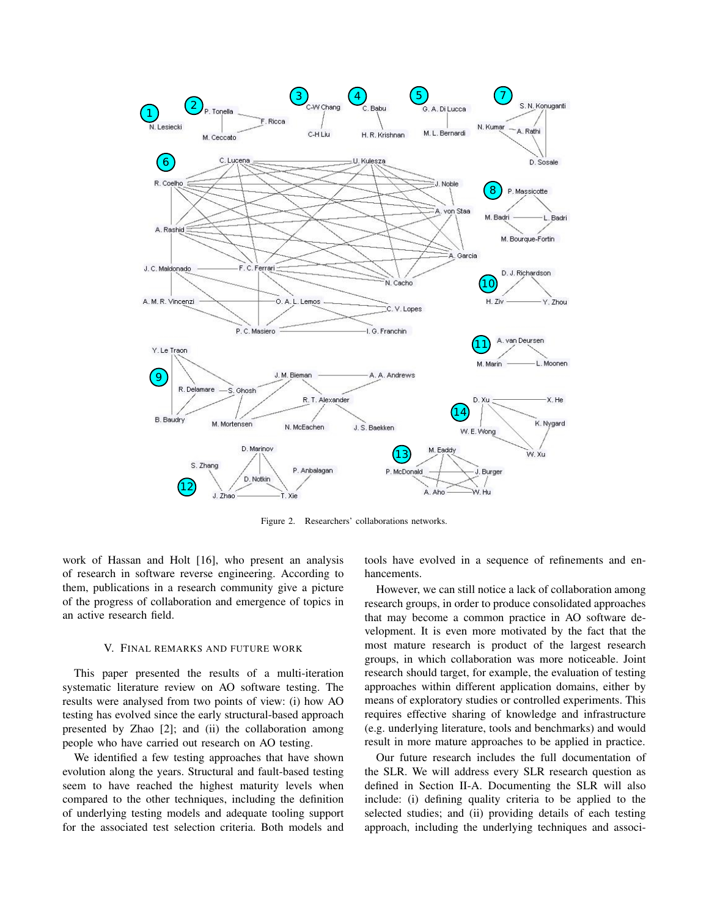

Figure 2. Researchers' collaborations networks.

work of Hassan and Holt [16], who present an analysis of research in software reverse engineering. According to them, publications in a research community give a picture of the progress of collaboration and emergence of topics in an active research field.

## V. FINAL REMARKS AND FUTURE WORK

This paper presented the results of a multi-iteration systematic literature review on AO software testing. The results were analysed from two points of view: (i) how AO testing has evolved since the early structural-based approach presented by Zhao [2]; and (ii) the collaboration among people who have carried out research on AO testing.

We identified a few testing approaches that have shown evolution along the years. Structural and fault-based testing seem to have reached the highest maturity levels when compared to the other techniques, including the definition of underlying testing models and adequate tooling support for the associated test selection criteria. Both models and tools have evolved in a sequence of refinements and enhancements.

However, we can still notice a lack of collaboration among research groups, in order to produce consolidated approaches that may become a common practice in AO software development. It is even more motivated by the fact that the most mature research is product of the largest research groups, in which collaboration was more noticeable. Joint research should target, for example, the evaluation of testing approaches within different application domains, either by means of exploratory studies or controlled experiments. This requires effective sharing of knowledge and infrastructure (e.g. underlying literature, tools and benchmarks) and would result in more mature approaches to be applied in practice.

Our future research includes the full documentation of the SLR. We will address every SLR research question as defined in Section II-A. Documenting the SLR will also include: (i) defining quality criteria to be applied to the selected studies; and (ii) providing details of each testing approach, including the underlying techniques and associ